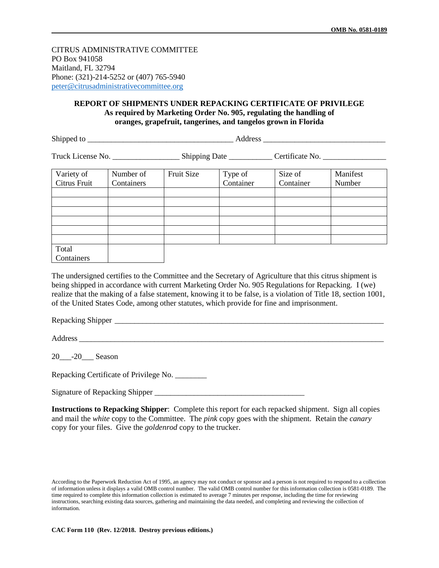CITRUS ADMINISTRATIVE COMMITTEE PO Box 941058 Maitland, FL 32794 Phone: (321)-214-5252 or (407) 765-5940 [peter@citrusadministrativecommittee.org](mailto:peter@citrusadministrativecommittee.org)

## **REPORT OF SHIPMENTS UNDER REPACKING CERTIFICATE OF PRIVILEGE As required by Marketing Order No. 905, regulating the handling of oranges, grapefruit, tangerines, and tangelos grown in Florida**

Shipped to the contract of the contract of the contract of the contract of the contract of the contract of the contract of the contract of the contract of the contract of the contract of the contract of the contract of the

Truck License No. \_\_\_\_\_\_\_\_\_\_\_\_\_\_\_\_\_\_\_\_\_\_\_Shipping Date \_\_\_\_\_\_\_\_\_\_\_\_\_\_Certificate No. \_\_\_\_\_\_\_\_\_\_\_\_\_\_\_

| Variety of   | Number of  | Fruit Size | Type of   | Size of   | Manifest |
|--------------|------------|------------|-----------|-----------|----------|
| Citrus Fruit | Containers |            | Container | Container | Number   |
|              |            |            |           |           |          |
|              |            |            |           |           |          |
|              |            |            |           |           |          |
|              |            |            |           |           |          |
|              |            |            |           |           |          |
|              |            |            |           |           |          |
| Total        |            |            |           |           |          |
| Containers   |            |            |           |           |          |

The undersigned certifies to the Committee and the Secretary of Agriculture that this citrus shipment is being shipped in accordance with current Marketing Order No. 905 Regulations for Repacking. I (we) realize that the making of a false statement, knowing it to be false, is a violation of Title 18, section 1001, of the United States Code, among other statutes, which provide for fine and imprisonment.

Repacking Shipper

Address  $\overline{A}$ 

20<sup>--20</sup> Season

Repacking Certificate of Privilege No. \_\_\_\_\_\_\_\_

Signature of Repacking Shipper \_\_\_\_\_\_\_\_\_\_\_\_\_\_\_\_\_\_\_\_\_\_\_\_\_\_\_\_\_\_\_\_\_\_\_\_\_\_

**Instructions to Repacking Shipper**: Complete this report for each repacked shipment. Sign all copies and mail the *white* copy to the Committee. The *pink* copy goes with the shipment. Retain the *canary* copy for your files. Give the *goldenrod* copy to the trucker.

According to the Paperwork Reduction Act of 1995, an agency may not conduct or sponsor and a person is not required to respond to a collection of information unless it displays a valid OMB control number. The valid OMB control number for this information collection is 0581-0189. The time required to complete this information collection is estimated to average 7 minutes per response, including the time for reviewing instructions, searching existing data sources, gathering and maintaining the data needed, and completing and reviewing the collection of information.